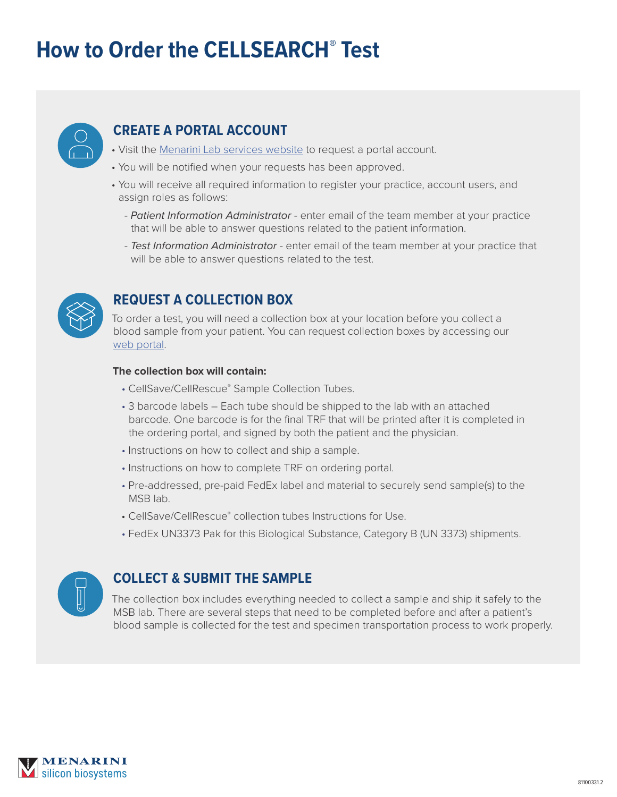# **How to Order the CELLSEARCH<sup>®</sup> Test**



# **CREATE A PORTAL ACCOUNT**

- Visit the [Menarini Lab services website](http://www.cellsearchruo.com/clinical-lab-service/hcp/request-portal-account-form) to request a portal account.
- You will be notified when your requests has been approved.
- You will receive all required information to register your practice, account users, and assign roles as follows:
	- *Patient Information Administrator* enter email of the team member at your practice that will be able to answer questions related to the patient information.
	- *Test Information Administrator* enter email of the team member at your practice that will be able to answer questions related to the test.



# **REQUEST A COLLECTION BOX**

To order a test, you will need a collection box at your location before you collect a blood sample from your patient. You can request collection boxes by accessing our [web portal.](https://msb-portal.force.com/labservices)

#### **The collection box will contain:**

- CellSave/CellRescue® Sample Collection Tubes.
- 3 barcode labels Each tube should be shipped to the lab with an attached barcode. One barcode is for the final TRF that will be printed after it is completed in the ordering portal, and signed by both the patient and the physician.
- Instructions on how to collect and ship a sample.
- Instructions on how to complete TRF on ordering portal.
- Pre-addressed, pre-paid FedEx label and material to securely send sample(s) to the MSB lab.
- CellSave/CellRescue® collection tubes Instructions for Use.
- FedEx UN3373 Pak for this Biological Substance, Category B (UN 3373) shipments.



## **COLLECT & SUBMIT THE SAMPLE**

The collection box includes everything needed to collect a sample and ship it safely to the MSB lab. There are several steps that need to be completed before and after a patient's blood sample is collected for the test and specimen transportation process to work properly.